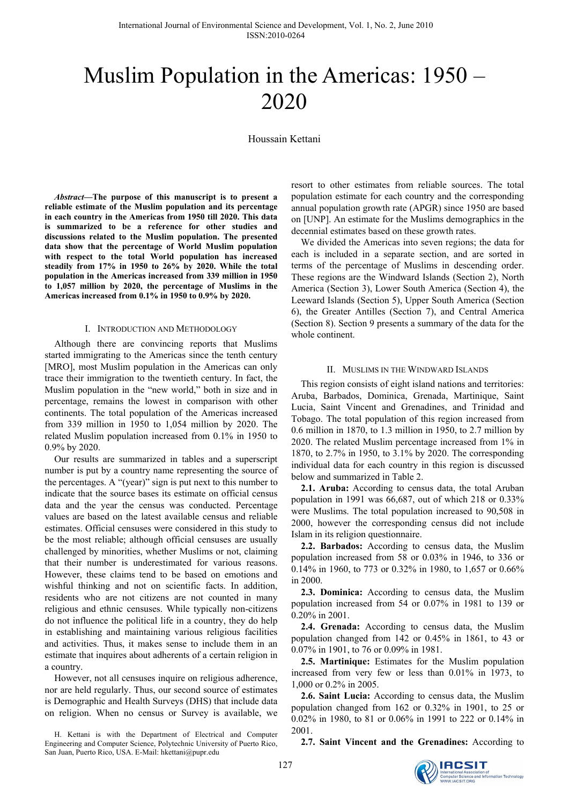# Muslim Population in the Americas: 1950 – 2020

Houssain Kettani

*Abstract—***The purpose of this manuscript is to present a reliable estimate of the Muslim population and its percentage in each country in the Americas from 1950 till 2020. This data is summarized to be a reference for other studies and discussions related to the Muslim population. The presented data show that the percentage of World Muslim population with respect to the total World population has increased steadily from 17% in 1950 to 26% by 2020. While the total population in the Americas increased from 339 million in 1950 to 1,057 million by 2020, the percentage of Muslims in the Americas increased from 0.1% in 1950 to 0.9% by 2020.** 

#### I. INTRODUCTION AND METHODOLOGY

Although there are convincing reports that Muslims started immigrating to the Americas since the tenth century [MRO], most Muslim population in the Americas can only trace their immigration to the twentieth century. In fact, the Muslim population in the "new world," both in size and in percentage, remains the lowest in comparison with other continents. The total population of the Americas increased from 339 million in 1950 to 1,054 million by 2020. The related Muslim population increased from 0.1% in 1950 to 0.9% by 2020.

Our results are summarized in tables and a superscript number is put by a country name representing the source of the percentages. A "(year)" sign is put next to this number to indicate that the source bases its estimate on official census data and the year the census was conducted. Percentage values are based on the latest available census and reliable estimates. Official censuses were considered in this study to be the most reliable; although official censuses are usually challenged by minorities, whether Muslims or not, claiming that their number is underestimated for various reasons. However, these claims tend to be based on emotions and wishful thinking and not on scientific facts. In addition, residents who are not citizens are not counted in many religious and ethnic censuses. While typically non-citizens do not influence the political life in a country, they do help in establishing and maintaining various religious facilities and activities. Thus, it makes sense to include them in an estimate that inquires about adherents of a certain religion in a country.

However, not all censuses inquire on religious adherence, nor are held regularly. Thus, our second source of estimates is Demographic and Health Surveys (DHS) that include data on religion. When no census or Survey is available, we

H. Kettani is with the Department of Electrical and Computer Engineering and Computer Science, Polytechnic University of Puerto Rico, San Juan, Puerto Rico, USA. E-Mail: hkettani@pupr.edu

resort to other estimates from reliable sources. The total population estimate for each country and the corresponding annual population growth rate (APGR) since 1950 are based on [UNP]. An estimate for the Muslims demographics in the decennial estimates based on these growth rates.

We divided the Americas into seven regions; the data for each is included in a separate section, and are sorted in terms of the percentage of Muslims in descending order. These regions are the Windward Islands (Section 2), North America (Section 3), Lower South America (Section 4), the Leeward Islands (Section 5), Upper South America (Section 6), the Greater Antilles (Section 7), and Central America (Section 8). Section 9 presents a summary of the data for the whole continent.

#### II. MUSLIMS IN THE WINDWARD ISLANDS

This region consists of eight island nations and territories: Aruba, Barbados, Dominica, Grenada, Martinique, Saint Lucia, Saint Vincent and Grenadines, and Trinidad and Tobago. The total population of this region increased from 0.6 million in 1870, to 1.3 million in 1950, to 2.7 million by 2020. The related Muslim percentage increased from 1% in 1870, to 2.7% in 1950, to 3.1% by 2020. The corresponding individual data for each country in this region is discussed below and summarized in Table 2.

**2.1. Aruba:** According to census data, the total Aruban population in 1991 was 66,687, out of which 218 or 0.33% were Muslims. The total population increased to 90,508 in 2000, however the corresponding census did not include Islam in its religion questionnaire.

**2.2. Barbados:** According to census data, the Muslim population increased from 58 or 0.03% in 1946, to 336 or 0.14% in 1960, to 773 or 0.32% in 1980, to 1,657 or 0.66% in 2000.

**2.3. Dominica:** According to census data, the Muslim population increased from 54 or 0.07% in 1981 to 139 or 0.20% in 2001.

**2.4. Grenada:** According to census data, the Muslim population changed from 142 or 0.45% in 1861, to 43 or 0.07% in 1901, to 76 or 0.09% in 1981.

**2.5. Martinique:** Estimates for the Muslim population increased from very few or less than 0.01% in 1973, to 1,000 or 0.2% in 2005.

**2.6. Saint Lucia:** According to census data, the Muslim population changed from 162 or 0.32% in 1901, to 25 or 0.02% in 1980, to 81 or 0.06% in 1991 to 222 or 0.14% in 2001.

**2.7. Saint Vincent and the Grenadines:** According to

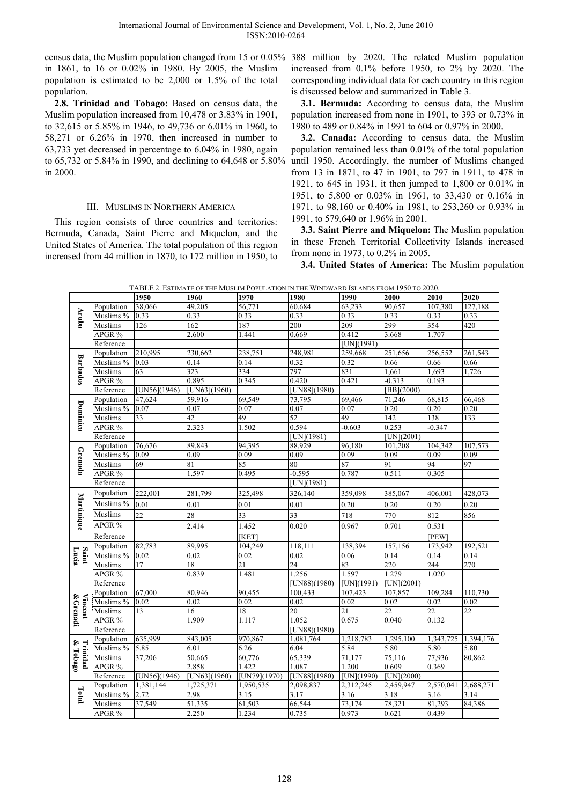census data, the Muslim population changed from 15 or 0.05% 388 million by 2020. The related Muslim population in 1861, to 16 or 0.02% in 1980. By 2005, the Muslim population is estimated to be 2,000 or 1.5% of the total population.

**2.8. Trinidad and Tobago:** Based on census data, the Muslim population increased from 10,478 or 3.83% in 1901, to 32,615 or 5.85% in 1946, to 49,736 or 6.01% in 1960, to 58,271 or 6.26% in 1970, then increased in number to 63,733 yet decreased in percentage to 6.04% in 1980, again to 65,732 or 5.84% in 1990, and declining to 64,648 or 5.80% in 2000.

## III. MUSLIMS IN NORTHERN AMERICA

This region consists of three countries and territories: Bermuda, Canada, Saint Pierre and Miquelon, and the United States of America. The total population of this region increased from 44 million in 1870, to 172 million in 1950, to increased from 0.1% before 1950, to 2% by 2020. The corresponding individual data for each country in this region is discussed below and summarized in Table 3.

**3.1. Bermuda:** According to census data, the Muslim population increased from none in 1901, to 393 or 0.73% in 1980 to 489 or 0.84% in 1991 to 604 or 0.97% in 2000.

**3.2. Canada:** According to census data, the Muslim population remained less than 0.01% of the total population until 1950. Accordingly, the number of Muslims changed from 13 in 1871, to 47 in 1901, to 797 in 1911, to 478 in 1921, to 645 in 1931, it then jumped to 1,800 or 0.01% in 1951, to 5,800 or 0.03% in 1961, to 33,430 or 0.16% in 1971, to 98,160 or 0.40% in 1981, to 253,260 or 0.93% in 1991, to 579,640 or 1.96% in 2001.

**3.3. Saint Pierre and Miquelon:** The Muslim population in these French Territorial Collectivity Islands increased from none in 1973, to 0.2% in 2005.

**3.4. United States of America:** The Muslim population

|                      |                      |                  | TABLE 2. ESTIMATE OF THE MUSLIM POPULATION IN THE WINDWARD ISLANDS FROM 1950 TO 2020. |              |                  |                         |                  |           |                 |
|----------------------|----------------------|------------------|---------------------------------------------------------------------------------------|--------------|------------------|-------------------------|------------------|-----------|-----------------|
|                      |                      | 1950             | 1960                                                                                  | 1970         | 1980             | 1990                    | 2000             | 2010      | 2020            |
|                      | Population           | 38,066           | 49,205                                                                                | 56,771       | 60,684           | 63,233                  | 90,657           | 107,380   | 127,188         |
| Aruba                | Muslims <sup>%</sup> | 0.33             | 0.33                                                                                  | 0.33         | 0.33             | 0.33                    | 0.33             | 0.33      | 0.33            |
|                      | Muslims              | 126              | 162                                                                                   | 187          | 200              | 209                     | 299              | 354       | 420             |
|                      | APGR %               |                  | 2.600                                                                                 | 1.441        | 0.669            | 0.412                   | 3.668            | 1.707     |                 |
|                      | Reference            |                  |                                                                                       |              |                  | [UN](1991)              |                  |           |                 |
|                      | Population           | 210,995          | 230,662                                                                               | 238,751      | 248,981          | 259,668                 | 251,656          | 256,552   | 261, 543        |
| <b>Barbados</b>      | Muslims %            | 0.03             | 0.14                                                                                  | 0.14         | 0.32             | 0.32                    | 0.66             | 0.66      | 0.66            |
|                      | Muslims              | 63               | 323                                                                                   | 334          | 797              | 831                     | 1,661            | 1,693     | 1,726           |
|                      | APGR %               |                  | 0.895                                                                                 | 0.345        | 0.420            | 0.421                   | $-0.313$         | 0.193     |                 |
|                      | Reference            | [UN56](1946)     | [UN63](1960)                                                                          |              | [UN88](1980)     |                         | $[BB](2000)$     |           |                 |
|                      | Population           | 47,624           | 59,916                                                                                | 69,549       | 73,795           | 69,466                  | 71,246           | 68,815    | 66,468          |
| Dominica             | Muslims %            | 0.07             | 0.07                                                                                  | 0.07         | 0.07             | 0.07                    | 0.20             | 0.20      | 0.20            |
|                      | Muslims              | 33               | 42                                                                                    | 49           | 52               | 49                      | $\overline{142}$ | 138       | 133             |
|                      | APGR %               |                  | 2.323                                                                                 | 1.502        | 0.594            | $-0.603$                | 0.253            | $-0.347$  |                 |
|                      | Reference            |                  |                                                                                       |              | [UN](1981)       |                         | $[UN](2001)$     |           |                 |
|                      | Population           | 76,676           | 89,843                                                                                | 94,395       | 88,929           | 96,180                  | 101,208          | 104,342   | 107,573         |
|                      | Muslims %            | 0.09             | 0.09                                                                                  | 0.09         | 0.09             | 0.09                    | 0.09             | 0.09      | 0.09            |
| Grenada              | Muslims              | 69               | 81                                                                                    | 85           | 80               | 87                      | 91               | 94        | 97              |
|                      | APGR %               |                  | 1.597                                                                                 | 0.495        | $-0.595$         | 0.787                   | 0.511            | 0.305     |                 |
|                      | Reference            |                  |                                                                                       |              | [UN](1981)       |                         |                  |           |                 |
| Martinique           | Population           | 222,001          | 281,799                                                                               | 325,498      | 326,140          | 359,098                 | 385,067          | 406,001   | 428,073         |
|                      | Muslims %            | 0.01             | 0.01                                                                                  | 0.01         | 0.01             | 0.20                    | 0.20             | 0.20      | 0.20            |
|                      | Muslims              | 22               | 28                                                                                    | 33           | 33               | 718                     | 770              | 812       | 856             |
|                      | APGR %               |                  | 2.414                                                                                 | 1.452        | 0.020            | 0.967                   | 0.701            | 0.531     |                 |
|                      | Reference            |                  |                                                                                       | [KET]        |                  |                         |                  | [PEW]     |                 |
|                      | Population           | 82,783           | 89,995                                                                                | 104,249      | 118,111          | 138,394                 | 157,156          | 173,942   | 192,521         |
| Saint<br>Lucia       | Muslims %            | 0.02             | 0.02                                                                                  | 0.02         | 0.02             | 0.06                    | 0.14             | 0.14      | 0.14            |
|                      | Muslims              | 17               | 18                                                                                    | 21           | 24               | 83                      | 220              | 244       | 270             |
|                      | APGR %               |                  | 0.839                                                                                 | 1.481        | 1.256            | 1.597                   | 1.279            | 1.020     |                 |
|                      | Reference            |                  |                                                                                       |              | [ $UN88$ )(1980) | [UN](1991)              | [UN](2001)       |           |                 |
|                      | Population           | 67,000           | 80,946                                                                                | 90,455       | 100,433          | 107,423                 | 107,857          | 109,284   | 110,730         |
|                      | Muslims %            | 0.02             | 0.02                                                                                  | 0.02         | 0.02             | 0.02                    | 0.02             | 0.02      | 0.02            |
|                      | Muslims              | 13               | 16                                                                                    | 18           | 20               | $\overline{21}$         | 22               | 22        | $\overline{22}$ |
| Vincent<br>& Grenadi | APGR %               |                  | 1.909                                                                                 | 1.117        | 1.052            | 0.675                   | 0.040            | 0.132     |                 |
|                      | Reference            |                  |                                                                                       |              | [UN88)(1980)     |                         |                  |           |                 |
| Trinidad<br>& Tobago | Population           | 635,999          | 843,005                                                                               | 970,867      | 1,081,764        | 1,218,783               | 1,295,100        | 1,343,725 | 1,394,176       |
|                      | Muslims %            | 5.85             | 6.01                                                                                  | 6.26         | 6.04             | 5.84                    | 5.80             | 5.80      | 5.80            |
|                      | <b>Muslims</b>       | 37,206           | 50,665                                                                                | 60,776       | 65,339           | 71,177                  | 75,116           | 77,936    | 80,862          |
|                      | APGR %               |                  | 2.858                                                                                 | 1.422        | 1.087            | 1.200                   | 0.609            | 0.369     |                 |
|                      | Reference            | [ $UN56$ ](1946) | [UN63](1960)                                                                          | [UN79](1970) | [UN88](1980)     | $\overline{[UN](1990)}$ | [UN](2000)       |           |                 |
|                      | Population           | 1,381,144        | 1,725,371                                                                             | 1,950,535    | 2,098,837        | 2,312,245               | 2,459,947        | 2,570,041 | 2,688,271       |
| Total                | Muslims %            | 2.72             | 2.98                                                                                  | 3.15         | 3.17             | 3.16                    | 3.18             | 3.16      | 3.14            |
|                      | Muslims              | 37,549           | 51,335                                                                                | 61,503       | 66,544           | 73,174                  | 78,321           | 81,293    | 84,386          |
|                      | APGR %               |                  | 2.250                                                                                 | 1.234        | 0.735            | 0.973                   | 0.621            | 0.439     |                 |

TABLE 2. ESTIMATE OF THE MUSLIM POPULATION IN THE WINDWARD ISLANDS FROM 1950 TO 2020.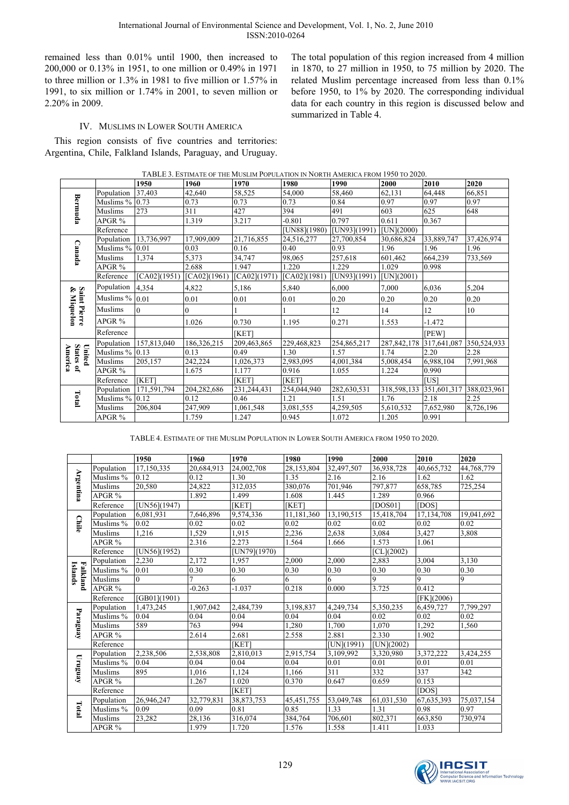remained less than 0.01% until 1900, then increased to 200,000 or 0.13% in 1951, to one million or 0.49% in 1971 to three million or 1.3% in 1981 to five million or 1.57% in 1991, to six million or 1.74% in 2001, to seven million or 2.20% in 2009.

The total population of this region increased from 4 million in 1870, to 27 million in 1950, to 75 million by 2020. The related Muslim percentage increased from less than 0.1% before 1950, to 1% by 2020. The corresponding individual data for each country in this region is discussed below and summarized in Table 4.

# IV. MUSLIMS IN LOWER SOUTH AMERICA

This region consists of five countries and territories: Argentina, Chile, Falkland Islands, Paraguay, and Uruguay.

|                                |                  | 1950         | 1960         | 1970         | 1980         | 1990         | 2000          | 2010                    | 2020        |
|--------------------------------|------------------|--------------|--------------|--------------|--------------|--------------|---------------|-------------------------|-------------|
|                                | Population       | 37,403       | 42,640       | 58,525       | 54,000       | 58,460       | 62,131        | 64,448                  | 66,851      |
| Bermuda                        | Muslims %        | 0.73         | 0.73         | 0.73         | 0.73         | 0.84         | 0.97          | 0.97                    | 0.97        |
|                                | Muslims          | 273          | 311          | 427          | 394          | 491          | 603           | 625                     | 648         |
|                                | $APGR$ %         |              | 1.319        | 3.217        | $-0.801$     | 0.797        | 0.611         | 0.367                   |             |
|                                | Reference        |              |              |              | [UN88](1980) | [UN93](1991) | [UN](2000)    |                         |             |
|                                | Population       | 13,736,997   | 17,909,009   | 21,716,855   | 24,516,277   | 27,700,854   | 30,686,824    | 33,889,747              | 37,426,974  |
| Canada                         | Muslims %        | 0.01         | 0.03         | 0.16         | 0.40         | 0.93         | 1.96          | 1.96                    | 1.96        |
|                                | Muslims          | 1,374        | 5,373        | 34,747       | 98,065       | 257.618      | 601,462       | 664,239                 | 733,569     |
|                                | APGR %           |              | 2.688        | 1.947        | 1.220        | 1.229        | 1.029         | 0.998                   |             |
|                                | Reference        | [CA02](1951) | [CA02](1961) | [CA02](1971) | [CA02](1981) | [UN93](1991) | [UN](2001)    |                         |             |
|                                | Population       | 4,354        | 4,822        | 5,186        | 5,840        | 6,000        | 7,000         | 6,036                   | 5,204       |
| Saint<br>& Mi                  | Muslims %        | 0.01         | 0.01         | 0.01         | 0.01         | 0.20         | 0.20          | 0.20                    | 0.20        |
| aint Pierre<br>: Miquelon      | Muslims          | 0            | 0            |              |              | 12           | 14            | 12                      | 10          |
|                                | $APGR$ %         |              | 1.026        | 0.730        | 1.195        | 0.271        | 1.553         | $-1.472$                |             |
|                                | Reference        |              |              | [KET]        |              |              |               | [PEW]                   |             |
|                                | Population       | 157,813,040  | 186,326,215  | 209,463,865  | 229,468,823  | 254,865,217  | 287, 842, 178 | 317,641,087             | 350,524,933 |
|                                | Muslims $% 0.13$ |              | 0.13         | 0.49         | 1.30         | 1.57         | 1.74          | 2.20                    | 2.28        |
| United<br>States of<br>America | Muslims          | 205,157      | 242,224      | 1,026,373    | 2,983,095    | 4,001,384    | 5,008,454     | 6,988,104               | 7,991,968   |
|                                | APGR %           |              | 1.675        | 1.177        | 0.916        | 1.055        | 1.224         | 0.990                   |             |
|                                | Reference        | [KET]        |              | [KET]        | [KET]        |              |               | [US]                    |             |
|                                | Population       | 171,591,794  | 204,282,686  | 231,244,431  | 254,044,940  | 282,630,531  | 318,598,133   | 351,601,317 388,023,961 |             |
| Total                          | Muslims %        | 0.12         | 0.12         | 0.46         | 1.21         | 1.51         | 1.76          | 2.18                    | 2.25        |
|                                | Muslims          | 206,804      | 247,909      | 1,061,548    | 3,081,555    | 4,259,505    | 5,610,532     | 7,652,980               | 8,726,196   |
|                                | APGR %           |              | 1.759        | 1.247        | 0.945        | 1.072        | 1.205         | 0.991                   |             |

TABLE 4. ESTIMATE OF THE MUSLIM POPULATION IN LOWER SOUTH AMERICA FROM 1950 TO 2020.

|                     |                       | 1950                   | 1960              | 1970         | 1980       | 1990       | 2000         | 2010         | 2020           |
|---------------------|-----------------------|------------------------|-------------------|--------------|------------|------------|--------------|--------------|----------------|
|                     | Population            | 17,150,335             | 20,684,913        | 24,002,708   | 28,153,804 | 32,497,507 | 36,938,728   | 40,665,732   | 44,768,779     |
|                     | Muslims %             | 0.12                   | 0.12              | 1.30         | 1.35       | 2.16       | 2.16         | 1.62         | 1.62           |
| <b>Argentina</b>    | Muslims               | 20,580                 | 24,822            | 312,035      | 380,076    | 701,946    | 797,877      | 658,785      | 725,254        |
|                     | APGR %                |                        | 1.892             | 1.499        | 1.608      | 1.445      | 1.289        | 0.966        |                |
|                     | Reference             | [UN56](1947)           |                   | [KET]        | [KET]      |            | [DOS01]      | [DOS]        |                |
|                     | Population            | 6.081.931              | 7.646.896         | 9,574,336    | 11,181,360 | 13,190,515 | 15,418,704   | 17,134,708   | 19,041,692     |
| <b>Chile</b>        | Muslims %             | 0.02                   | 0.02              | 0.02         | 0.02       | 0.02       | 0.02         | 0.02         | 0.02           |
|                     | Muslims               | 1,216                  | 1,529             | 1,915        | 2,236      | 2,638      | 3,084        | 3,427        | 3,808          |
|                     | APGR <sup>%</sup>     |                        | 2.316             | 2.273        | 1.564      | 1.666      | 1.573        | 1.061        |                |
|                     | Reference             | [UN56](1952)           |                   | [UN79](1970) |            |            | $CL$ ](2002) |              |                |
|                     | Population            | 2.230                  | 2.172             | 1.957        | 2.000      | 2.000      | 2,883        | 3.004        | 3.130          |
| Islands<br>Falkland | Muslims %             | 0.01                   | $\overline{0.30}$ | 0.30         | 0.30       | 0.30       | 0.30         | 0.30         | 0.30           |
|                     | Muslims               | $\theta$               | $\overline{7}$    | 6            | 6          | 6          | 9            | 9            | $\overline{9}$ |
|                     | APGR %                |                        | $-0.263$          | $-1.037$     | 0.218      | 0.000      | 3.725        | 0.412        |                |
|                     | Reference             | [GB01](1901)           |                   |              |            |            |              | $[FK](2006)$ |                |
|                     | Population            | $\overline{1,}473,245$ | 1,907,042         | 2,484,739    | 3,198,837  | 4,249,734  | 5,350,235    | 6,459,727    | 7,799,297      |
| Paraguay            | Muslims %             | 0.04                   | 0.04              | 0.04         | 0.04       | 0.04       | 0.02         | 0.02         | 0.02           |
|                     | Muslims               | 589                    | 763               | 994          | 1,280      | 1.700      | 1,070        | 1,292        | 1.560          |
|                     | APGR %                |                        | 2.614             | 2.681        | 2.558      | 2.881      | 2.330        | 1.902        |                |
|                     | Reference             |                        |                   | <b>IKET</b>  |            | [UN](1991) | [UN](2002)   |              |                |
|                     | Population            | 2,238,506              | 2,538,808         | 2,810,013    | 2,915,754  | 3,109,992  | 3,320,980    | 3,372,222    | 3,424,255      |
| $\mathbf{m}$ anay   | Muslims $\frac{1}{6}$ | 0.04                   | 0.04              | 0.04         | 0.04       | 0.01       | 0.01         | 0.01         | 0.01           |
|                     | Muslims               | 895                    | 1.016             | 1.124        | 1.166      | 311        | 332          | 337          | 342            |
|                     | APGR %                |                        | 1.267             | 1.020        | 0.370      | 0.647      | 0.659        | 0.153        |                |
|                     | Reference             |                        |                   | [KET]        |            |            |              | [DOS]        |                |
|                     | Population            | 26,946,247             | 32,779,831        | 38,873,753   | 45,451,755 | 53,049,748 | 61,031,530   | 67,635,393   | 75,037,154     |
| Total               | Muslims %             | 0.09                   | 0.09              | 0.81         | 0.85       | 1.33       | 1.31         | 0.98         | 0.97           |
|                     | Muslims               | 23,282                 | 28,136            | 316,074      | 384,764    | 706,601    | 802,371      | 663,850      | 730,974        |
|                     | APGR %                |                        | 1.979             | 1.720        | 1.576      | 1.558      | 1.411        | 1.033        |                |

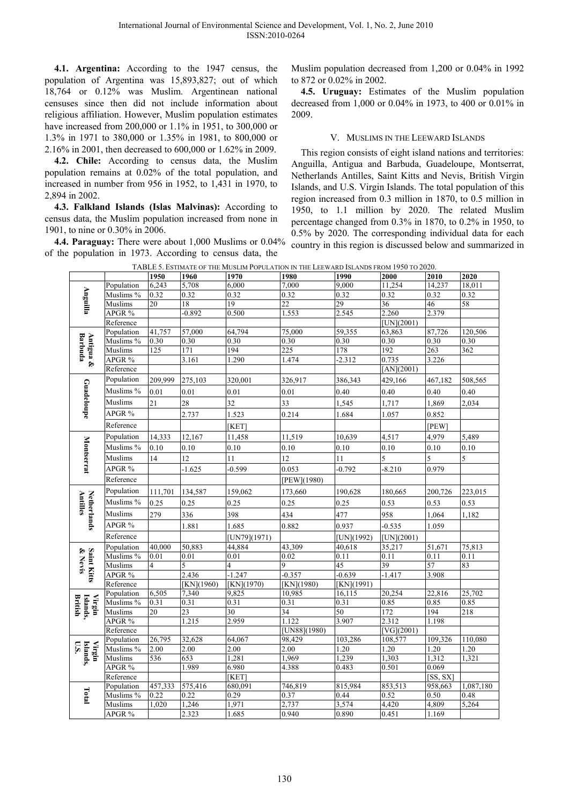**4.1. Argentina:** According to the 1947 census, the population of Argentina was 15,893,827; out of which 18,764 or 0.12% was Muslim. Argentinean national censuses since then did not include information about religious affiliation. However, Muslim population estimates have increased from 200,000 or 1.1% in 1951, to 300,000 or 1.3% in 1971 to 380,000 or 1.35% in 1981, to 800,000 or 2.16% in 2001, then decreased to 600,000 or 1.62% in 2009.

**4.2. Chile:** According to census data, the Muslim population remains at 0.02% of the total population, and increased in number from 956 in 1952, to 1,431 in 1970, to 2,894 in 2002.

**4.3. Falkland Islands (Islas Malvinas):** According to census data, the Muslim population increased from none in 1901, to nine or 0.30% in 2006.

**4.4. Paraguay:** There were about 1,000 Muslims or 0.04% of the population in 1973. According to census data, the

Muslim population decreased from 1,200 or 0.04% in 1992 to 872 or 0.02% in 2002.

**4.5. Uruguay:** Estimates of the Muslim population decreased from 1,000 or 0.04% in 1973, to 400 or 0.01% in 2009.

# V. MUSLIMS IN THE LEEWARD ISLANDS

This region consists of eight island nations and territories: Anguilla, Antigua and Barbuda, Guadeloupe, Montserrat, Netherlands Antilles, Saint Kitts and Nevis, British Virgin Islands, and U.S. Virgin Islands. The total population of this region increased from 0.3 million in 1870, to 0.5 million in 1950, to 1.1 million by 2020. The related Muslim percentage changed from 0.3% in 1870, to 0.2% in 1950, to 0.5% by 2020. The corresponding individual data for each country in this region is discussed below and summarized in

| TABLE 5. ESTIMATE OF THE MUSLIM POPULATION IN THE LEEWARD ISLANDS FROM 1950 TO 2020. |                         |                |            |              |                 |                 |                         |              |                  |  |
|--------------------------------------------------------------------------------------|-------------------------|----------------|------------|--------------|-----------------|-----------------|-------------------------|--------------|------------------|--|
|                                                                                      |                         | 1950           | 1960       | 1970         | 1980            | 1990            | 2000                    | 2010         | 2020             |  |
|                                                                                      | Population              | 6,243          | 5,708      | 6,000        | 7,000           | 9,000           | 11,254                  | 14,237       | 18,011           |  |
|                                                                                      | Muslims %               | 0.32           | 0.32       | 0.32         | 0.32            | 0.32            | 0.32                    | 0.32         | 0.32             |  |
| Anguilla                                                                             | Muslims                 | 20             | 18         | 19           | $\overline{22}$ | 29              | 36                      | 46           | 58               |  |
|                                                                                      | APGR %                  |                | 0.892      | 0.500        | 1.553           | 2.545           | 2.260                   | 2.379        |                  |  |
|                                                                                      | Reference               |                |            |              |                 |                 | $[UN](2001)$            |              |                  |  |
|                                                                                      | Population              | 41,757         | 57,000     | 64,794       | 75,000          | 59,355          | 63,863                  | 87,726       | 120,506          |  |
| Antigua &<br>Barbuda                                                                 | Muslims %               | 0.30           | 0.30       | 0.30         | 0.30            | 0.30            | 0.30                    | 0.30         | 0.30             |  |
|                                                                                      | Muslims<br>APGR %       | 125            | 171        | 194          | 225             | 178<br>$-2.312$ | 192<br>0.735            | 263<br>3.226 | $\overline{362}$ |  |
|                                                                                      |                         |                | 3.161      | 1.290        | 1.474           |                 |                         |              |                  |  |
|                                                                                      | Reference               |                |            |              |                 |                 | [AN](2001)              |              |                  |  |
|                                                                                      | Population              | 209,999        | 275,103    | 320,001      | 326,917         | 386,343         | 429,166                 | 467,182      | 508,565          |  |
| Guadeloupe                                                                           | Muslims %               | 0.01           | 0.01       | 0.01         | 0.01            | 0.40            | 0.40                    | 0.40         | 0.40             |  |
|                                                                                      | Muslims                 | 21             | 28         | 32           | 33              | 1,545           | 1,717                   | 1,869        | 2,034            |  |
|                                                                                      | APGR %                  |                | 2.737      | 1.523        | 0.214           | 1.684           | 1.057                   | 0.852        |                  |  |
|                                                                                      | Reference               |                |            | [KET]        |                 |                 |                         | [PEW]        |                  |  |
|                                                                                      | Population              | 14,333         | 12,167     | 11,458       | 11,519          | 10,639          | 4,517                   | 4,979        | 5,489            |  |
|                                                                                      | Muslims %               | 0.10           | 0.10       | 0.10         | 0.10            | 0.10            | 0.10                    | 0.10         | 0.10             |  |
|                                                                                      | Muslims                 | 14             | 12         | 11           | 12              | 11              | 5                       | 5            | 5                |  |
| Montserrat                                                                           | APGR %                  |                | $-1.625$   | $-0.599$     | 0.053           | $-0.792$        | $-8.210$                | 0.979        |                  |  |
|                                                                                      | Reference               |                |            |              | [PEW](1980)     |                 |                         |              |                  |  |
|                                                                                      | Population              | 111,701        | 134,587    | 159,062      | 173,660         | 190,628         | 180,665                 | 200,726      | 223,015          |  |
|                                                                                      | Muslims %               | 0.25           | 0.25       | 0.25         | 0.25            | 0.25            | 0.53                    | 0.53         | 0.53             |  |
|                                                                                      | <b>Muslims</b>          | 279            | 336        | 398          | 434             | 477             | 958                     | 1,064        | 1,182            |  |
|                                                                                      | APGR %                  |                | 1.881      | 1.685        | 0.882           | 0.937           | $-0.535$                | 1.059        |                  |  |
| Netherlands<br>Antilles                                                              | Reference               |                |            | [UN79](1971) |                 | [UN](1992)      | [UN](2001)              |              |                  |  |
|                                                                                      | Population              | 40,000         | 50,883     | 44,884       | 43,309          | 40,618          | 35,217                  | 51,671       | 75,813           |  |
|                                                                                      | Muslims %               | 0.01           | 0.01       | 0.01         | 0.02            | 0.11            | 0.11                    | 0.11         | 0.11             |  |
|                                                                                      | Muslims                 | $\overline{4}$ | 5          | 4            | $\mathbf Q$     | 45              | 39                      | 57           | 83               |  |
| Saint Kitts<br>& Nevis                                                               | APGR %                  |                | 2.436      | $-1.247$     | $-0.357$        | $-0.639$        | $-1.417$                | 3.908        |                  |  |
|                                                                                      | Reference               |                | [KN](1960) | [KN](1970)   | [KN](1980)      | [KN](1991)      |                         |              |                  |  |
|                                                                                      | Population              | 6,505          | 7,340      | 9,825        | 10,985          | 16,115          | 20,254                  | 22,816       | 25,702           |  |
| Islands,<br>British<br>Virgin                                                        | Muslims %               | 0.31           | 0.31       | 0.31         | 0.31            | 0.31            | 0.85                    | 0.85         | 0.85             |  |
|                                                                                      | Muslims                 | 20             | 23         | 30           | 34              | 50              | 172                     | 194          | 218              |  |
|                                                                                      | APGR %                  |                | 1.215      | 2.959        | 1.122           | 3.907           | 2.312                   | 1.198        |                  |  |
|                                                                                      | Reference               |                |            |              | [UN88](1980)    |                 | $\overline{[VG](2001)}$ |              |                  |  |
|                                                                                      | Population              | 26,795         | 32,628     | 64,067       | 98,429          | 103,286         | 108,577                 | 109,326      | 110,080          |  |
| Virgin<br>$0.5$ .                                                                    | Muslims %               | 2.00           | 2.00       | 2.00         | 2.00            | 1.20            | 1.20                    | 1.20         | 1.20             |  |
|                                                                                      | Muslims                 | 536            | 653        | 1,281        | 1,969           | 1,239           | 1,303                   | 1,312        | 1,321            |  |
| Islands,                                                                             | APGR %                  |                | 1.989      | 6.980        | 4.388           | 0.483           | 0.501                   | 0.069        |                  |  |
|                                                                                      | Reference               |                |            | [KET]        |                 |                 |                         | [SS, SX]     |                  |  |
|                                                                                      | Population              | 457,333        | 575,416    | 680,091      | 746,819         | 815,984         | 853,513                 | 958,663      | 1,087,180        |  |
| Total                                                                                | Muslims $\overline{\%}$ | 0.22           | 0.22       | 0.29         | 0.37            | 0.44            | 0.52                    | 0.50         | 0.48             |  |
|                                                                                      | Muslims                 | 1,020          | 1,246      | 1,971        | 2,737           | 3,574           | 4,420                   | 4,809        | 5,264            |  |
|                                                                                      | APGR %                  |                | 2.323      | 1.685        | 0.940           | 0.890           | 0.451                   | 1.169        |                  |  |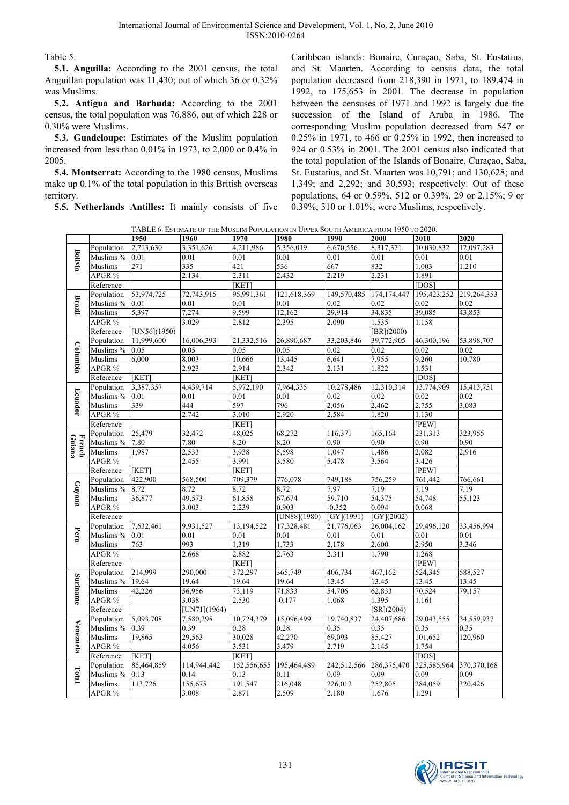Table 5.

**5.1. Anguilla:** According to the 2001 census, the total Anguillan population was 11,430; out of which 36 or 0.32% was Muslims.

**5.2. Antigua and Barbuda:** According to the 2001 census, the total population was 76,886, out of which 228 or 0.30% were Muslims.

**5.3. Guadeloupe:** Estimates of the Muslim population increased from less than 0.01% in 1973, to 2,000 or 0.4% in 2005.

**5.4. Montserrat:** According to the 1980 census, Muslims make up 0.1% of the total population in this British overseas territory.

**5.5. Netherlands Antilles:** It mainly consists of five

Caribbean islands: Bonaire, Curaçao, Saba, St. Eustatius, and St. Maarten. According to census data, the total population decreased from 218,390 in 1971, to 189.474 in 1992, to 175,653 in 2001. The decrease in population between the censuses of 1971 and 1992 is largely due the succession of the Island of Aruba in 1986. The corresponding Muslim population decreased from 547 or 0.25% in 1971, to 466 or 0.25% in 1992, then increased to 924 or 0.53% in 2001. The 2001 census also indicated that the total population of the Islands of Bonaire, Curaçao, Saba, St. Eustatius, and St. Maarten was 10,791; and 130,628; and 1,349; and 2,292; and 30,593; respectively. Out of these populations, 64 or 0.59%, 512 or 0.39%, 29 or 2.15%; 9 or 0.39%; 310 or 1.01%; were Muslims, respectively.

TABLE 6. ESTIMATE OF THE MUSLIM POPULATION IN UPPER SOUTH AMERICA FROM 1950 TO 2020.

|                  |                |              |              |             | <b>I ADLL 0.</b> LOTINATE OF THE MOSLIM FOLULATION IN OTTER DOUTH AMERICA FROM 1750 TO 2020. |             |                                |             |               |
|------------------|----------------|--------------|--------------|-------------|----------------------------------------------------------------------------------------------|-------------|--------------------------------|-------------|---------------|
|                  |                | 1950         | 1960         | 1970        | 1980                                                                                         | 1990        | 2000                           | 2010        | 2020          |
|                  | Population     | 2,713,630    | 3,351,626    | 4,211,986   | 5,356,019                                                                                    | 6,670,556   | 8,317,371                      | 10,030,832  | 12,097,283    |
| <b>Bolivia</b>   | Muslims %      | 0.01         | 0.01         | 0.01        | 0.01                                                                                         | 0.01        | 0.01                           | 0.01        | 0.01          |
|                  | Muslims        | 271          | 335          | 421         | 536                                                                                          | 667         | 832                            | 1,003       | 1,210         |
|                  | APGR %         |              | 2.134        | 2.311       | 2.432                                                                                        | 2.219       | 2.231                          | 1.891       |               |
|                  | Reference      |              |              | [KET]       |                                                                                              |             |                                | [DOS]       |               |
|                  | Population     | 53,974,725   | 72,743,915   | 95,991,361  | 121,618,369                                                                                  | 149,570,485 | 174, 174, 447                  | 195,423,252 | 219,264,353   |
| Brazil           | Muslims % 0.01 |              | 0.01         | 0.01        | 0.01                                                                                         | 0.02        | 0.02                           | 0.02        | 0.02          |
|                  | Muslims        | 5,397        | 7,274        | 9,599       | 12,162                                                                                       | 29,914      | 34,835                         | 39,085      | 43,853        |
|                  | APGR %         |              | 3.029        | 2.812       | 2.395                                                                                        | 2.090       | 1.535                          | 1.158       |               |
|                  | Reference      | [UN56](1950) |              |             |                                                                                              |             | $\overline{\text{[BR](2000)}}$ |             |               |
|                  | Population     | 11,999,600   | 16,006,393   | 21,332,516  | 26,890,687                                                                                   | 33,203,846  | 39,772,905                     | 46,300,196  | 53,898,707    |
| Columbia         | Muslims %      | 0.05         | 0.05         | 0.05        | 0.05                                                                                         | 0.02        | 0.02                           | 0.02        | 0.02          |
|                  | Muslims        | 6.000        | 8,003        | 10,666      | 13,445                                                                                       | 6,641       | 7,955                          | 9,260       | 10,780        |
|                  | APGR %         |              | 2.923        | 2.914       | 2.342                                                                                        | 2.131       | 1.822                          | 1.531       |               |
|                  | Reference      | [KET]        |              | [KET]       |                                                                                              |             |                                | [DOS]       |               |
|                  | Population     | 3,387,357    | 4,439,714    | 5,972,190   | 7,964,335                                                                                    | 10,278,486  | 12,310,314                     | 13,774,909  | 15,413,751    |
| <b>Ecuador</b>   | Muslims % 0.01 |              | 0.01         | 0.01        | 0.01                                                                                         | 0.02        | 0.02                           | 0.02        | 0.02          |
|                  | Muslims        | 339          | 444          | 597         | 796                                                                                          | 2,056       | 2,462                          | 2,755       | 3,083         |
|                  | APGR %         |              | 2.742        | 3.010       | 2.920                                                                                        | 2.584       | 1.820                          | 1.130       |               |
|                  | Reference      |              |              | [KET]       |                                                                                              |             |                                | [PEW]       |               |
|                  | Population     | 25,479       | 32,472       | 48,025      | 68,272                                                                                       | 116,371     | 165,164                        | 231,313     | 323,955       |
| French<br>Guiana | Muslims %      | 7.80         | 7.80         | 8.20        | 8.20                                                                                         | 0.90        | 0.90                           | 0.90        | 0.90          |
|                  | Muslims        | 1,987        | 2,533        | 3,938       | 5,598                                                                                        | 1,047       | 1,486                          | 2,082       | 2,916         |
|                  | APGR %         |              | 2.455        | 3.991       | 3.580                                                                                        | 5.478       | 3.564                          | 3.426       |               |
|                  | Reference      | [KET]        |              | [KET]       |                                                                                              |             |                                | [PEW]       |               |
|                  | Population     | 422,900      | 568,500      | 709,379     | 776,078                                                                                      | 749,188     | 756,259                        | 761,442     | 766,661       |
| Guyana           | Muslims %      | 8.72         | 8.72         | 8.72        | 8.72                                                                                         | 7.97        | 7.19                           | 7.19        | 7.19          |
|                  | Muslims        | 36,877       | 49,573       | 61,858      | 67,674                                                                                       | 59,710      | 54,375                         | 54,748      | 55,123        |
|                  | APGR %         |              | 3.003        | 2.239       | 0.903                                                                                        | $-0.352$    | 0.094                          | 0.068       |               |
|                  | Reference      |              |              |             | [UN88](1980)                                                                                 | [GY](1991)  | [GY](2002)                     |             |               |
|                  | Population     | 7,632,461    | 9,931,527    | 13,194,522  | 17,328,481                                                                                   | 21,776,063  | 26,004,162                     | 29,496,120  | 33,456,994    |
| Peru             | Muslims %      | 0.01         | 0.01         | 0.01        | 0.01                                                                                         | 0.01        | 0.01                           | 0.01        | 0.01          |
|                  | Muslims        | 763          | 993          | 1,319       | 1,733                                                                                        | 2,178       | 2,600                          | 2,950       | 3,346         |
|                  | APGR %         |              | 2.668        | 2.882       | 2.763                                                                                        | 2.311       | 1.790                          | 1.268       |               |
|                  | Reference      |              |              | [KET]       |                                                                                              |             |                                | [PEW]       |               |
|                  | Population     | 214,999      | 290,000      | 372,297     | 365,749                                                                                      | 406,734     | 467,162                        | 524,345     | 588,527       |
| Suriname         | Muslims %      | 19.64        | 19.64        | 19.64       | 19.64                                                                                        | 13.45       | 13.45                          | 13.45       | 13.45         |
|                  | Muslims        | 42,226       | 56,956       | 73,119      | 71,833                                                                                       | 54,706      | 62,833                         | 70,524      | 79,157        |
|                  | APGR %         |              | 3.038        | 2.530       | $-0.177$                                                                                     | 1.068       | 1.395                          | 1.161       |               |
|                  | Reference      |              | [UN71](1964) |             |                                                                                              |             | $\overline{\text{[SR]}(2004)}$ |             |               |
|                  | Population     | 5,093,708    | 7,580,295    | 10,724,379  | 15,096,499                                                                                   | 19,740,837  | 24,407,686                     | 29,043,555  | 34,559,937    |
| Venezuela        | Muslims %      | 0.39         | 0.39         | 0.28        | 0.28                                                                                         | 0.35        | 0.35                           | 0.35        | 0.35          |
|                  | Muslims        | 19,865       | 29,563       | 30,028      | 42,270                                                                                       | 69,093      | 85,427                         | 101,652     | 120,960       |
|                  | APGR %         |              | 4.056        | 3.531       | 3.479                                                                                        | 2.719       | 2.145                          | 1.754       |               |
|                  | Reference      | [KET]        |              | [KET]       |                                                                                              |             |                                | [DOS]       |               |
|                  | Population     | 85,464,859   | 114,944,442  | 152,556,655 | 195,464,489                                                                                  | 242,512,566 | 286, 375, 470                  | 325,585,964 | 370, 370, 168 |
| Total            | Muslims %      | 0.13         | 0.14         | 0.13        | 0.11                                                                                         | 0.09        | 0.09                           | 0.09        | 0.09          |
|                  | Muslims        | 113,726      | 155,675      | 191,547     | 216,048                                                                                      | 226,012     | 252,805                        | 284,059     | 320,426       |
|                  | APGR %         |              | 3.008        | 2.871       | 2.509                                                                                        | 2.180       | 1.676                          | 1.291       |               |

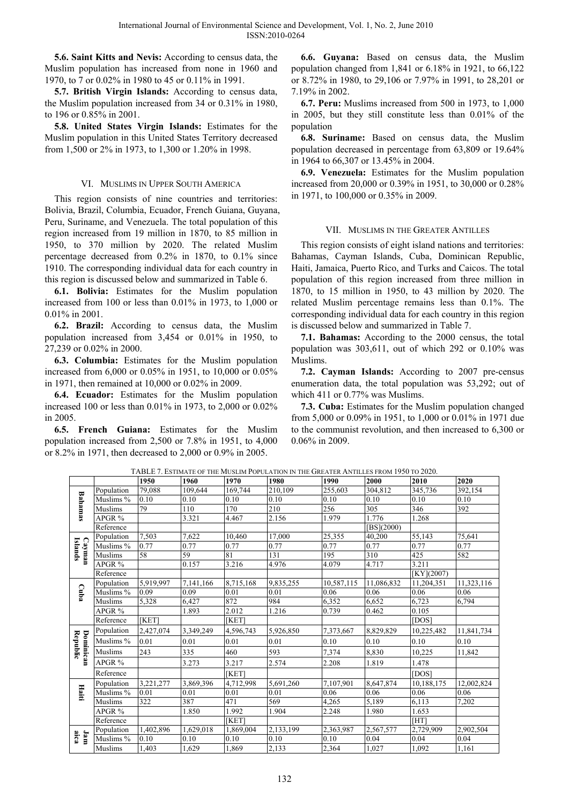**5.6. Saint Kitts and Nevis:** According to census data, the Muslim population has increased from none in 1960 and 1970, to 7 or 0.02% in 1980 to 45 or 0.11% in 1991.

**5.7. British Virgin Islands:** According to census data, the Muslim population increased from 34 or 0.31% in 1980, to 196 or 0.85% in 2001.

**5.8. United States Virgin Islands:** Estimates for the Muslim population in this United States Territory decreased from 1,500 or 2% in 1973, to 1,300 or 1.20% in 1998.

## VI. MUSLIMS IN UPPER SOUTH AMERICA

This region consists of nine countries and territories: Bolivia, Brazil, Columbia, Ecuador, French Guiana, Guyana, Peru, Suriname, and Venezuela. The total population of this region increased from 19 million in 1870, to 85 million in 1950, to 370 million by 2020. The related Muslim percentage decreased from 0.2% in 1870, to 0.1% since 1910. The corresponding individual data for each country in this region is discussed below and summarized in Table 6.

**6.1. Bolivia:** Estimates for the Muslim population increased from 100 or less than 0.01% in 1973, to 1,000 or 0.01% in 2001.

**6.2. Brazil:** According to census data, the Muslim population increased from 3,454 or 0.01% in 1950, to 27,239 or 0.02% in 2000.

**6.3. Columbia:** Estimates for the Muslim population increased from 6,000 or 0.05% in 1951, to 10,000 or 0.05% in 1971, then remained at 10,000 or 0.02% in 2009.

**6.4. Ecuador:** Estimates for the Muslim population increased 100 or less than 0.01% in 1973, to 2,000 or 0.02% in 2005.

**6.5. French Guiana:** Estimates for the Muslim population increased from 2,500 or 7.8% in 1951, to 4,000 or 8.2% in 1971, then decreased to 2,000 or 0.9% in 2005.

**6.6. Guyana:** Based on census data, the Muslim population changed from 1,841 or 6.18% in 1921, to 66,122 or 8.72% in 1980, to 29,106 or 7.97% in 1991, to 28,201 or 7.19% in 2002.

**6.7. Peru:** Muslims increased from 500 in 1973, to 1,000 in 2005, but they still constitute less than 0.01% of the population

**6.8. Suriname:** Based on census data, the Muslim population decreased in percentage from 63,809 or 19.64% in 1964 to 66,307 or 13.45% in 2004.

**6.9. Venezuela:** Estimates for the Muslim population increased from 20,000 or 0.39% in 1951, to 30,000 or 0.28% in 1971, to 100,000 or 0.35% in 2009.

## VII. MUSLIMS IN THE GREATER ANTILLES

This region consists of eight island nations and territories: Bahamas, Cayman Islands, Cuba, Dominican Republic, Haiti, Jamaica, Puerto Rico, and Turks and Caicos. The total population of this region increased from three million in 1870, to 15 million in 1950, to 43 million by 2020. The related Muslim percentage remains less than 0.1%. The corresponding individual data for each country in this region is discussed below and summarized in Table 7.

**7.1. Bahamas:** According to the 2000 census, the total population was 303,611, out of which 292 or 0.10% was Muslims.

**7.2. Cayman Islands:** According to 2007 pre-census enumeration data, the total population was 53,292; out of which 411 or 0.77% was Muslims.

**7.3. Cuba:** Estimates for the Muslim population changed from 5,000 or 0.09% in 1951, to 1,000 or 0.01% in 1971 due to the communist revolution, and then increased to 6,300 or 0.06% in 2009.

TABLE 7. ESTIMATE OF THE MUSLIM POPULATION IN THE GREATER ANTILLES FROM 1950 TO 2020.

|                       |                | 1950      | 1960      | 1970         | 1980                   | 1990       | 2000       | 2010       | 2020       |
|-----------------------|----------------|-----------|-----------|--------------|------------------------|------------|------------|------------|------------|
|                       | Population     | 79.088    | 109,644   | 169,744      | 210,109                | 255,603    | 304,812    | 345,736    | 392,154    |
|                       | Muslims %      | 0.10      | 0.10      | 0.10         | 0.10                   | 0.10       | 0.10       | 0.10       | 0.10       |
| Bahamas               | <b>Muslims</b> | 79        | 110       | 170          | 210                    | 256        | 305        | 346        | 392        |
|                       | APGR %         |           | 3.321     | 4.467        | 2.156                  | 1.979      | 1.776      | 1.268      |            |
|                       | Reference      |           |           |              |                        |            | [BS](2000) |            |            |
|                       | Population     | 7.503     | 7,622     | 10,460       | 17.000                 | 25,355     | 40,200     | 55,143     | 75,641     |
| Islands<br>Cayman     | Muslims %      | 0.77      | 0.77      | 0.77         | 0.77                   | 0.77       | 0.77       | 0.77       | 0.77       |
|                       | <b>Muslims</b> | 58        | 59        | 81           | 131                    | 195        | 310        | 425        | 582        |
|                       | APGR %         |           | 0.157     | 3.216        | 4.976                  | 4.079      | 4.717      | 3.211      |            |
|                       | Reference      |           |           |              |                        |            |            | [KY](2007) |            |
|                       | Population     | 5,919,997 | 7,141,166 | 8,715,168    | 9,835,255              | 10,587,115 | 11,086,832 | 11,204,351 | 11,323,116 |
| Cuba                  | Muslims %      | 0.09      | 0.09      | 0.01         | 0.01                   | 0.06       | 0.06       | 0.06       | 0.06       |
|                       | Muslims        | 5,328     | 6,427     | 872          | 984                    | 6,352      | 6,652      | 6,723      | 6,794      |
|                       | APGR %         |           | 1.893     | 2.012        | 1.216                  | 0.739      | 0.462      | 0.105      |            |
|                       | Reference      | [KET]     |           | [KET]        |                        |            |            | [DOS]      |            |
|                       | Population     | 2,427,074 | 3,349,249 | 4,596,743    | 5,926,850              | 7,373,667  | 8,829,829  | 10,225,482 | 11,841,734 |
|                       | Muslims %      | 0.01      | 0.01      | 0.01         | 0.01                   | 0.10       | 0.10       | 0.10       | 0.10       |
| Republic<br>Dominican | Muslims        | 243       | 335       | 460          | 593                    | 7,374      | 8,830      | 10,225     | 11,842     |
|                       | APGR %         |           | 3.273     | 3.217        | 2.574                  | 2.208      | 1.819      | 1.478      |            |
|                       | Reference      |           |           | <b>[KET]</b> |                        |            |            | [DOS]      |            |
|                       | Population     | 3,221,277 | 3,869,396 | 4,712,998    | $\overline{5,691,260}$ | 7,107,901  | 8,647,874  | 10,188,175 | 12,002,824 |
| Haiti                 | Muslims %      | 0.01      | 0.01      | 0.01         | 0.01                   | 0.06       | 0.06       | 0.06       | 0.06       |
|                       | <b>Muslims</b> | 322       | 387       | 471          | 569                    | 4,265      | 5,189      | 6,113      | 7,202      |
|                       | APGR %         |           | 1.850     | 1.992        | 1.904                  | 2.248      | 1.980      | 1.653      |            |
|                       | Reference      |           |           | [KET]        |                        |            |            | [HT]       |            |
|                       | Population     | 1,402,896 | 1,629,018 | 1,869,004    | 2,133,199              | 2,363,987  | 2,567,577  | 2,729,909  | 2,902,504  |
| $\lim_{\text{aice}}$  | Muslims %      | 0.10      | 0.10      | 0.10         | 0.10                   | 0.10       | 0.04       | 0.04       | 0.04       |
|                       | Muslims        | 1,403     | 1,629     | 1,869        | 2,133                  | 2,364      | 1,027      | 1,092      | 1,161      |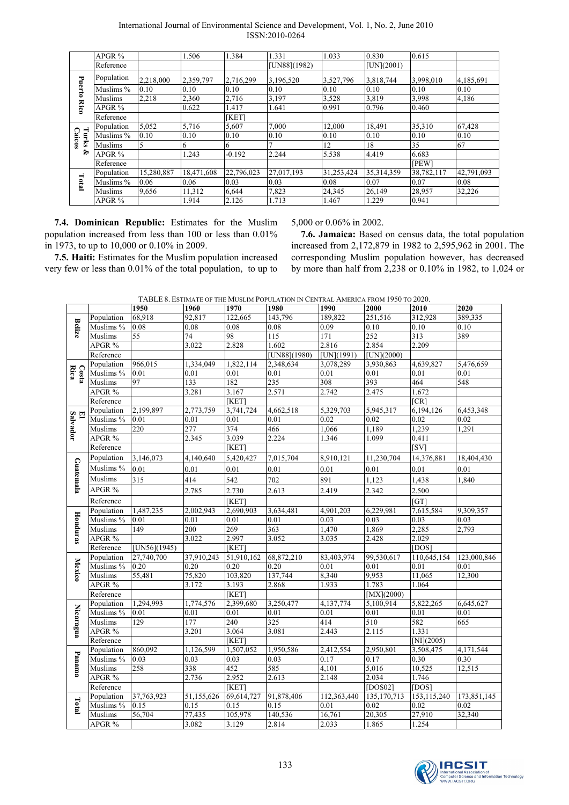| International Journal of Environmental Science and Development, Vol. 1, No. 2, June 2010 |  |  |  |
|------------------------------------------------------------------------------------------|--|--|--|
| ISSN:2010-0264                                                                           |  |  |  |

|                        | $APGR$ %   |            | 1.506      | 1.384      | 1.331        | 1.033            | 0.830        | 0.615       |            |
|------------------------|------------|------------|------------|------------|--------------|------------------|--------------|-------------|------------|
|                        | Reference  |            |            |            | [UN88](1982) |                  | $[UN](2001)$ |             |            |
| Puerto                 | Population | 2,218,000  | 2,359,797  | 2,716,299  | 3,196,520    | 3,527,796        | 3,818,744    | 3,998,010   | 4,185,691  |
|                        | Muslims %  | 0.10       | 0.10       | 0.10       | 0.10         | 0.10             | 0.10         | 0.10        | 0.10       |
|                        | Muslims    | 2,218      | 2,360      | 2,716      | 3,197        | 3,528            | 3,819        | 3,998       | 4,186      |
| <b>Rico</b>            | $APGR$ %   |            | 0.622      | 1.417      | 1.641        | 0.991            | 0.796        | 0.460       |            |
|                        | Reference  |            |            | [KET]      |              |                  |              |             |            |
|                        | Population | 5,052      | 5,716      | 5,607      | 7,000        | 12,000           | 18,491       | 35,310      | 67,428     |
| Turks<br><b>Caicos</b> | Muslims %  | 0.10       | 0.10       | 0.10       | 0.10         | 0.10             | 0.10         | 0.10        | 0.10       |
|                        | Muslims    | 5          | 6          | 6          |              | 12               | 18           | 35          | 67         |
| ৡ                      | $APGR$ %   |            | 1.243      | $-0.192$   | 2.244        | 5.538            | 4.419        | 6.683       |            |
|                        | Reference  |            |            |            |              |                  |              | <b>IPEW</b> |            |
|                        | Population | 15,280,887 | 18,471,608 | 22,796,023 | 27,017,193   | 31,253,424       | 35, 314, 359 | 38,782,117  | 42,791,093 |
| Total                  | Muslims %  | 0.06       | 0.06       | 0.03       | 0.03         | 0.08             | 0.07         | 0.07        | 0.08       |
|                        | Muslims    | 9,656      | 11,312     | 6,644      | 7,823        | 24,345           | 26,149       | 28,957      | 32,226     |
|                        | $APGR$ %   |            | 1.914      | 2.126      | 1.713        | L <sub>467</sub> | .229         | 0.941       |            |

**7.4. Dominican Republic:** Estimates for the Muslim population increased from less than 100 or less than 0.01% in 1973, to up to 10,000 or 0.10% in 2009.

**7.5. Haiti:** Estimates for the Muslim population increased very few or less than 0.01% of the total population, to up to

5,000 or 0.06% in 2002.

**7.6. Jamaica:** Based on census data, the total population increased from 2,172,879 in 1982 to 2,595,962 in 2001. The corresponding Muslim population however, has decreased by more than half from 2,238 or 0.10% in 1982, to 1,024 or

TABLE 8. ESTIMATE OF THE MUSLIM POPULATION IN CENTRAL AMERICA FROM 1950 TO 2020.

|                |                      | 1950         | 1960       | 1970                    | 1980         | 1990        | 2000         | 2010          | 2020              |
|----------------|----------------------|--------------|------------|-------------------------|--------------|-------------|--------------|---------------|-------------------|
|                | Population           | 68,918       | 92,817     | 122.665                 | 143,796      | 189,822     | 251,516      | 312,928       | 389,335           |
| <b>Belize</b>  | Muslims %            | 0.08         | 0.08       | 0.08                    | 0.08         | 0.09        | 0.10         | 0.10          | 0.10              |
|                | Muslims              | 55           | 74         | 98                      | 115          | 171         | 252          | 313           | 389               |
|                | APGR %               |              | 3.022      | 2.828                   | 1.602        | 2.816       | 2.854        | 2.209         |                   |
|                | Reference            |              |            |                         | [UN88](1980) | [UN](1991)  | $[UN](2000)$ |               |                   |
|                | Population           | 966,015      | 1,334,049  | 1,822,114               | 2,348,634    | 3,078,289   | 3,930,863    | 4,639,827     | 5,476,659         |
| Costa<br>Rica  | Muslims %            | 0.01         | 0.01       | 0.01                    | 0.01         | 0.01        | 0.01         | 0.01          | 0.01              |
|                | Muslims              | 97           | 133        | 182                     | 235          | 308         | 393          | 464           | 548               |
|                | APGR %               |              | 3.281      | 3.167                   | 2.571        | 2.742       | 2.475        | 1.672         |                   |
|                | Reference            |              |            | KET                     |              |             |              | CR            |                   |
|                | Population           | 2,199,897    | 2,773,759  | 3,741,724               | 4,662,518    | 5,329,703   | 5,945,317    | 6,194,126     | 6,453,348         |
| El<br>Salvador | Muslims %            | 0.01         | 0.01       | 0.01                    | 0.01         | 0.02        | 0.02         | 0.02          | 0.02              |
|                | Muslims              | 220          | 277        | 374                     | 466          | 1,066       | 1,189        | 1,239         | 1,291             |
|                | APGR %               |              | 2.345      | 3.039                   | 2.224        | 1.346       | 1.099        | 0.411         |                   |
|                | Reference            |              |            | [KET]                   |              |             |              | [SV]          |                   |
|                | Population           | 3,146,073    | 4,140,640  | 5,420,427               | 7,015,704    | 8,910,121   | 11,230,704   | 14,376,881    | 18,404,430        |
| Guatemala      | Muslims %            | 0.01         | 0.01       | $0.01\,$                | 0.01         | 0.01        | 0.01         | 0.01          | 0.01              |
|                | <b>Muslims</b>       | 315          | 414        | 542                     | 702          | 891         | 1,123        | 1,438         | 1,840             |
|                | APGR %               |              | 2.785      | 2.730                   | 2.613        | 2.419       | 2.342        | 2.500         |                   |
|                | Reference            |              |            | [KET]                   |              |             |              | [GT]          |                   |
|                | Population           | 1,487,235    | 2,002,943  | 2,690,903               | 3,634,481    | 4,901,203   | 6,229,981    | 7,615,584     | 9,309,357         |
|                | Muslims %            | 0.01         | 0.01       | 0.01                    | 0.01         | 0.03        | 0.03         | 0.03          | 0.03              |
| Honduras       | Muslims              | 149          | 200        | 269                     | 363          | 1,470       | 1,869        | 2,285         | 2,793             |
|                | APGR %               |              | 3.022      | 2.997                   | 3.052        | 3.035       | 2.428        | 2.029         |                   |
|                | Reference            | [UN56](1945) |            | [KET]                   |              |             |              | [DOS]         |                   |
|                | Population           | 27,740,700   | 37,910,243 | 51,910,162              | 68,872,210   | 83,403,974  | 99,530,617   | 110,645,154   | 123,000,846       |
| <b>Mexico</b>  | Muslims <sup>%</sup> | 0.20         | 0.20       | 0.20                    | 0.20         | 0.01        | 0.01         | 0.01          | $\overline{0.01}$ |
|                | Muslims              | 55,481       | 75,820     | 103,820                 | 137,744      | 8,340       | 9,953        | 11,065        | 12,300            |
|                | APGR %               |              | 3.172      | 3.193                   | 2.868        | 1.933       | 1.783        | 1.064         |                   |
|                | Reference            |              |            | KET                     |              |             | [MX](2000)   |               |                   |
|                | Population           | 1,294,993    | 1,774,576  | 2,399,680               | 3,250,477    | 4,137,774   | 5,100,914    | 5,822,265     | 6,645,627         |
| Nicaragua      | Muslims %            | 0.01         | 0.01       | 0.01                    | 0.01         | 0.01        | 0.01         | $0.01\,$      | 0.01              |
|                | Muslims              | 129          | 177        | 240                     | 325          | 414         | 510          | 582           | 665               |
|                | APGR %               |              | 3.201      | 3.064                   | 3.081        | 2.443       | 2.115        | 1.331         |                   |
|                | Reference            |              |            | [KET]                   |              |             |              | [NI] $(2005)$ |                   |
|                | Population           | 860,092      | 1,126,599  | 1,507,052               | 1,950,586    | 2,412,554   | 2,950,801    | 3,508,475     | 4,171,544         |
| Panama         | Muslims <sup>%</sup> | 0.03         | 0.03       | 0.03                    | 0.03         | 0.17        | 0.17         | 0.30          | 0.30              |
|                | Muslims              | 258          | 338        | 452                     | 585          | 4,101       | 5,016        | 10,525        | 12,515            |
|                | APGR %               |              | 2.736      | 2.952                   | 2.613        | 2.148       | 2.034        | 1.746         |                   |
|                | Reference            |              |            | [KET]                   |              |             | [DOS02]      | [DOS]         |                   |
|                | Population           | 37,763,923   | 51,155,626 | $\overline{69,614,727}$ | 91,878,406   | 112,363,440 | 135,170,713  | 153, 115, 240 | 173,851,145       |
| Total          | Muslims %            | 0.15         | 0.15       | 0.15                    | 0.15         | 0.01        | 0.02         | $0.02\,$      | 0.02              |
|                | Muslims              | 56,704       | 77,435     | 105,978                 | 140,536      | 16,761      | 20,305       | 27,910        | 32,340            |
|                | APGR $\%$            |              | 3.082      | 3.129                   | 2.814        | 2.033       | 1.865        | 1.254         |                   |

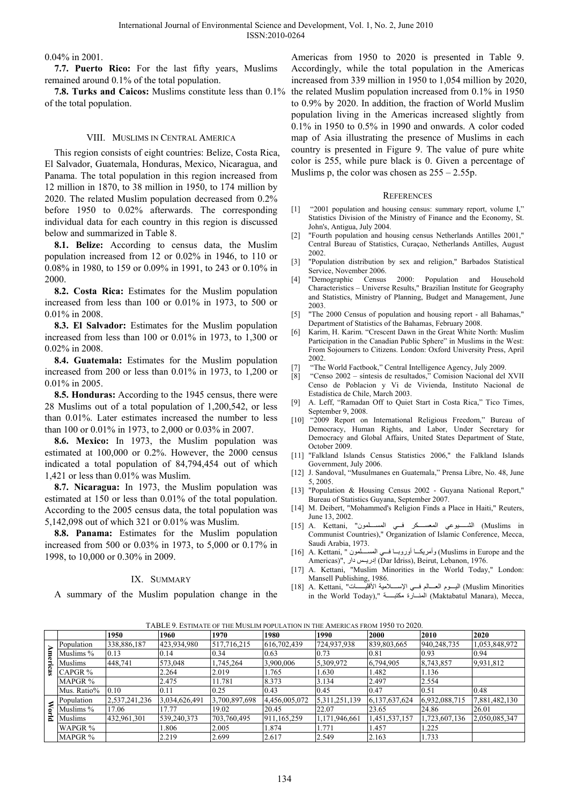0.04% in 2001.

**7.7. Puerto Rico:** For the last fifty years, Muslims remained around 0.1% of the total population.

of the total population.

## VIII. MUSLIMS IN CENTRAL AMERICA

This region consists of eight countries: Belize, Costa Rica, El Salvador, Guatemala, Honduras, Mexico, Nicaragua, and Panama. The total population in this region increased from 12 million in 1870, to 38 million in 1950, to 174 million by 2020. The related Muslim population decreased from 0.2% before 1950 to 0.02% afterwards. The corresponding individual data for each country in this region is discussed below and summarized in Table 8.

**8.1. Belize:** According to census data, the Muslim population increased from 12 or 0.02% in 1946, to 110 or 0.08% in 1980, to 159 or 0.09% in 1991, to 243 or 0.10% in 2000.

**8.2. Costa Rica:** Estimates for the Muslim population increased from less than 100 or 0.01% in 1973, to 500 or 0.01% in 2008.

**8.3. El Salvador:** Estimates for the Muslim population increased from less than 100 or 0.01% in 1973, to 1,300 or 0.02% in 2008.

**8.4. Guatemala:** Estimates for the Muslim population increased from 200 or less than 0.01% in 1973, to 1,200 or 0.01% in 2005.

**8.5. Honduras:** According to the 1945 census, there were 28 Muslims out of a total population of 1,200,542, or less than 0.01%. Later estimates increased the number to less than 100 or 0.01% in 1973, to 2,000 or 0.03% in 2007.

**8.6. Mexico:** In 1973, the Muslim population was estimated at 100,000 or 0.2%. However, the 2000 census indicated a total population of 84,794,454 out of which 1,421 or less than 0.01% was Muslim.

**8.7. Nicaragua:** In 1973, the Muslim population was estimated at 150 or less than 0.01% of the total population. According to the 2005 census data, the total population was 5,142,098 out of which 321 or 0.01% was Muslim.

**8.8. Panama:** Estimates for the Muslim population increased from 500 or 0.03% in 1973, to 5,000 or 0.17% in 1998, to 10,000 or 0.30% in 2009.

# IX. SUMMARY

A summary of the Muslim population change in the

**7.8. Turks and Caicos:** Muslims constitute less than 0.1% the related Muslim population increased from 0.1% in 1950 Americas from 1950 to 2020 is presented in Table 9. Accordingly, while the total population in the Americas increased from 339 million in 1950 to 1,054 million by 2020, to 0.9% by 2020. In addition, the fraction of World Muslim population living in the Americas increased slightly from 0.1% in 1950 to 0.5% in 1990 and onwards. A color coded map of Asia illustrating the presence of Muslims in each country is presented in Figure 9. The value of pure white color is 255, while pure black is 0. Given a percentage of Muslims p, the color was chosen as  $255 - 2.55p$ .

#### **REFERENCES**

- [1] "2001 population and housing census: summary report, volume I," Statistics Division of the Ministry of Finance and the Economy, St. John's, Antigua, July 2004.
- [2] "Fourth population and housing census Netherlands Antilles 2001," Central Bureau of Statistics, Curaçao, Netherlands Antilles, August 2002.
- [3] "Population distribution by sex and religion," Barbados Statistical Service, November 2006.
- [4] "Demographic Census 2000: Population and Household Characteristics – Universe Results," Brazilian Institute for Geography and Statistics, Ministry of Planning, Budget and Management, June 2003.
- [5] "The 2000 Census of population and housing report all Bahamas," Department of Statistics of the Bahamas, February 2008.
- [6] Karim, H. Karim. "Crescent Dawn in the Great White North: Muslim Participation in the Canadian Public Sphere" in Muslims in the West: From Sojourners to Citizens. London: Oxford University Press, April 2002.
- [7] "The World Factbook," Central Intelligence Agency, July 2009.
- [8] "Censo 2002 síntesis de resultados," Comision Nacional del XVII Censo de Poblacion y Vi de Vivienda, Instituto Nacional de Estadística de Chile, March 2003.
- [9] A. Leff, "Ramadan Off to Quiet Start in Costa Rica," Tico Times, September 9, 2008.
- [10] "2009 Report on International Religious Freedom," Bureau of Democracy, Human Rights, and Labor, Under Secretary for Democracy and Global Affairs, United States Department of State, October 2009.
- [11] "Falkland Islands Census Statistics 2006," the Falkland Islands Government, July 2006.
- [12] J. Sandoval, "Musulmanes en Guatemala," Prensa Libre, No. 48, June 5, 2005.
- [13] "Population & Housing Census 2002 Guyana National Report," Bureau of Statistics Guyana, September 2007.
- [14] M. Deibert, "Mohammed's Religion Finds a Place in Haiti," Reuters, June 13, 2002.
- Muslims in الشهيوعي المعسكر في المسلمون" ,A. Kettani الشهيوعي المعسكر في المسلمون" Communist Countries)," Organization of Islamic Conference, Mecca, Saudi Arabia, 1973.
- [16] A. Kettani, " لمســلمون " A. Kettani, " وأمريكــا أوروبــا فـــي المســلمون) Americas)", ادریس دار (Dar Idriss), Beirut, Lebanon, 1976.
- [17] A. Kettani, "Muslim Minorities in the World Today," London: Mansell Publishing, 1986.
- Muslim Minorities) اليسوم العسالم فسي الإسسلامية الأقليسسات" ,A. Kettani . in the World Today)," المغسارة مكتبة (Maktabatul Manara), Mecca,

TABLE 9. ESTIMATE OF THE MUSLIM POPULATION IN THE AMERICAS FROM 1950 TO 2020.

|        |             | 1950          | 1960          | 1970          | 1980          | 1990          | 2000          | 2010          | 2020          |
|--------|-------------|---------------|---------------|---------------|---------------|---------------|---------------|---------------|---------------|
| Americ | Population  | 338,886,187   | 423,934,980   | 517,716,215   | 616,702,439   | 724,937,938   | 839,803,665   | 940,248,735   | 1,053,848,972 |
|        | Muslims %   | 0.13          | 0.14          | 0.34          | 0.63          | 0.73          | 0.81          | 0.93          | 0.94          |
|        | Muslims     | 448.741       | 573,048       | 1,745,264     | 3,900,006     | 5,309,972     | 6,794,905     | 8,743,857     | 9,931,812     |
| æ.     | CAPGR %     |               | 2.264         | 2.019         | 1.765         | 1.630         | .482          | 1.136         |               |
|        | MAPGR %     |               | 2.475         | 11.781        | 8.373         | 3.134         | 2.497         | 2.554         |               |
|        | Mus. Ratio% | 0.10          | 0.11          | 0.25          | 0.43          | 0.45          | 0.47          | 0.51          | 0.48          |
|        | Population  | 2,537,241,236 | 3,034,626,491 | 3,700,897,698 | 4,456,005,072 | 5,311,251,139 | 6,137,637,624 | 6,932,088,715 | 7,881,482,130 |
| Ñоı    | Muslims %   | 17.06         | 17.77         | 19.02         | 20.45         | 22.07         | 23.65         | 24.86         | 26.01         |
| 군      | Muslims     | 432,961,301   | 539,240,373   | 703,760,495   | 911,165,259   | 1,171,946,661 | 1,451,537,157 | 1,723,607,136 | 2,050,085,347 |
|        | WAPGR %     |               | 1.806         | 2.005         | 1.874         | 1.771         | 1.457         | 1.225         |               |
|        | MAPGR %     |               | 2.219         | 2.699         | 2.617         | 2.549         | 2.163         | 1.733         |               |